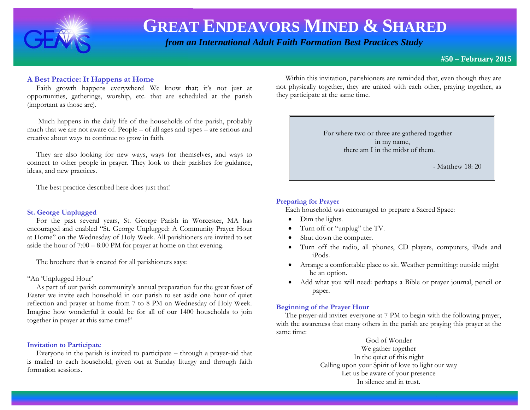

# **GREAT ENDEAVORS MINED & SHARED**

 *from an International Adult Faith Formation Best Practices Study*

**#50 – February 2015**

## **A Best Practice: It Happens at Home**

 Faith growth happens everywhere! We know that; it's not just at opportunities, gatherings, worship, etc. that are scheduled at the parish (important as those are).

 Much happens in the daily life of the households of the parish, probably much that we are not aware of. People – of all ages and types – are serious and creative about ways to continue to grow in faith.

 They are also looking for new ways, ways for themselves, and ways to connect to other people in prayer. They look to their parishes for guidance, ideas, and new practices.

The best practice described here does just that!

#### **St. George Unplugged**

 For the past several years, St. George Parish in Worcester, MA has encouraged and enabled "St. George Unplugged: A Community Prayer Hour at Home" on the Wednesday of Holy Week. All parishioners are invited to set aside the hour of 7:00 – 8:00 PM for prayer at home on that evening.

The brochure that is created for all parishioners says:

#### "An 'Unplugged Hour'

 As part of our parish community's annual preparation for the great feast of Easter we invite each household in our parish to set aside one hour of quiet reflection and prayer at home from 7 to 8 PM on Wednesday of Holy Week. Imagine how wonderful it could be for all of our 1400 households to join together in prayer at this same time!"

#### **Invitation to Participate**

 Everyone in the parish is invited to participate – through a prayer-aid that is mailed to each household, given out at Sunday liturgy and through faith formation sessions.

 Within this invitation, parishioners are reminded that, even though they are not physically together, they are united with each other, praying together, as they participate at the same time.

> For where two or three are gathered together in my name, there am I in the midst of them.

> > - Matthew 18: 20

I

### **Preparing for Prayer**

Each household was encouraged to prepare a Sacred Space:

- Dim the lights.
- Turn off or "unplug" the TV.
- Shut down the computer.
- Turn off the radio, all phones, CD players, computers, iPads and iPods.
- Arrange a comfortable place to sit. Weather permitting: outside might be an option.
- Add what you will need: perhaps a Bible or prayer journal, pencil or paper.

#### **Beginning of the Prayer Hour**

 The prayer-aid invites everyone at 7 PM to begin with the following prayer, with the awareness that many others in the parish are praying this prayer at the same time:

> God of Wonder We gather together In the quiet of this night Calling upon your Spirit of love to light our way Let us be aware of your presence In silence and in trust.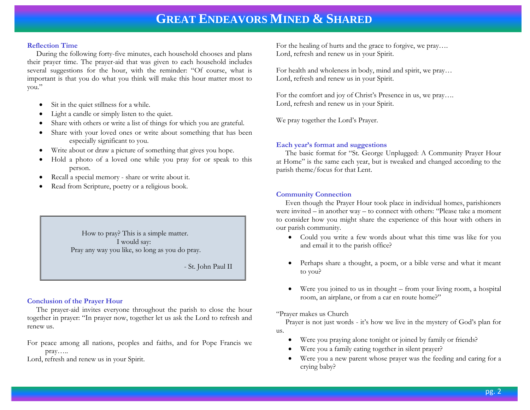# **GREAT ENDEAVORS MINED & SHARED**

#### **Reflection Time**

 During the following forty-five minutes, each household chooses and plans their prayer time. The prayer-aid that was given to each household includes several suggestions for the hour, with the reminder: "Of course, what is important is that you do what you think will make this hour matter most to you."

- Sit in the quiet stillness for a while.
- Light a candle or simply listen to the quiet.
- Share with others or write a list of things for which you are grateful.
- Share with your loved ones or write about something that has been especially significant to you.
- Write about or draw a picture of something that gives you hope.
- Hold a photo of a loved one while you pray for or speak to this person.
- Recall a special memory share or write about it.
- Read from Scripture, poetry or a religious book.

 How to pray? This is a simple matter. I would say: Pray any way you like, so long as you do pray.

- St. John Paul II

I

#### **Conclusion of the Prayer Hour**

 The prayer-aid invites everyone throughout the parish to close the hour together in prayer: "In prayer now, together let us ask the Lord to refresh and renew us.

For peace among all nations, peoples and faiths, and for Pope Francis we pray…..

Lord, refresh and renew us in your Spirit.

For the healing of hurts and the grace to forgive, we pray…. Lord, refresh and renew us in your Spirit.

For health and wholeness in body, mind and spirit, we pray… Lord, refresh and renew us in your Spirit.

For the comfort and joy of Christ's Presence in us, we pray…. Lord, refresh and renew us in your Spirit.

We pray together the Lord's Prayer.

### **Each year's format and suggestions**

 The basic format for "St. George Unplugged: A Community Prayer Hour at Home" is the same each year, but is tweaked and changed according to the parish theme/focus for that Lent.

### **Community Connection**

 Even though the Prayer Hour took place in individual homes, parishioners were invited – in another way – to connect with others: "Please take a moment to consider how you might share the experience of this hour with others in our parish community.

- Could you write a few words about what this time was like for you and email it to the parish office?
- Perhaps share a thought, a poem, or a bible verse and what it meant to you?
- Were you joined to us in thought from your living room, a hospital room, an airplane, or from a car en route home?"

#### "Prayer makes us Church

 Prayer is not just words - it's how we live in the mystery of God's plan for us.

- Were you praying alone tonight or joined by family or friends?
- Were you a family eating together in silent prayer?
- Were you a new parent whose prayer was the feeding and caring for a crying baby?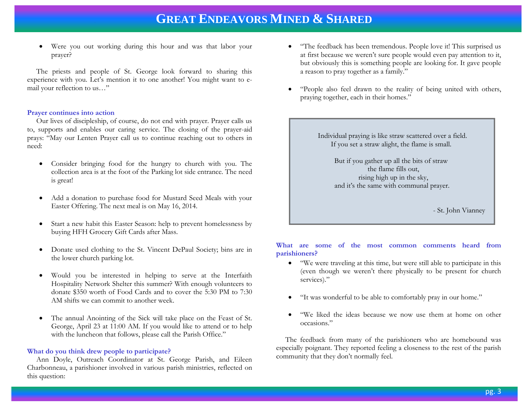# **GREAT ENDEAVORS MINED & SHARED**

 Were you out working during this hour and was that labor your prayer?

 The priests and people of St. George look forward to sharing this experience with you. Let's mention it to one another! You might want to email your reflection to us…"

#### **Prayer continues into action**

 Our lives of discipleship, of course, do not end with prayer. Prayer calls us to, supports and enables our caring service. The closing of the prayer-aid prays: "May our Lenten Prayer call us to continue reaching out to others in need:

- Consider bringing food for the hungry to church with you. The collection area is at the foot of the Parking lot side entrance. The need is great!
- Add a donation to purchase food for Mustard Seed Meals with your Easter Offering. The next meal is on May 16, 2014.
- Start a new habit this Easter Season: help to prevent homelessness by buying HFH Grocery Gift Cards after Mass.
- Donate used clothing to the St. Vincent DePaul Society; bins are in the lower church parking lot.
- Would you be interested in helping to serve at the Interfaith Hospitality Network Shelter this summer? With enough volunteers to donate \$350 worth of Food Cards and to cover the 5:30 PM to 7:30 AM shifts we can commit to another week.
- The annual Anointing of the Sick will take place on the Feast of St. George, April 23 at 11:00 AM. If you would like to attend or to help with the luncheon that follows, please call the Parish Office."

#### **What do you think drew people to participate?**

 Ann Doyle, Outreach Coordinator at St. George Parish, and Eileen Charbonneau, a parishioner involved in various parish ministries, reflected on this question:

- "The feedback has been tremendous. People love it! This surprised us at first because we weren't sure people would even pay attention to it, but obviously this is something people are looking for. It gave people a reason to pray together as a family."
- "People also feel drawn to the reality of being united with others, praying together, each in their homes."

 Individual praying is like straw scattered over a field. If you set a straw alight, the flame is small.

> But if you gather up all the bits of straw the flame fills out, rising high up in the sky, and it's the same with communal prayer.

> > - St. John Vianney

I

**What are some of the most common comments heard from parishioners?**

- "We were traveling at this time, but were still able to participate in this (even though we weren't there physically to be present for church services)."
- "It was wonderful to be able to comfortably pray in our home."
- "We liked the ideas because we now use them at home on other occasions."

 The feedback from many of the parishioners who are homebound was especially poignant. They reported feeling a closeness to the rest of the parish community that they don't normally feel.